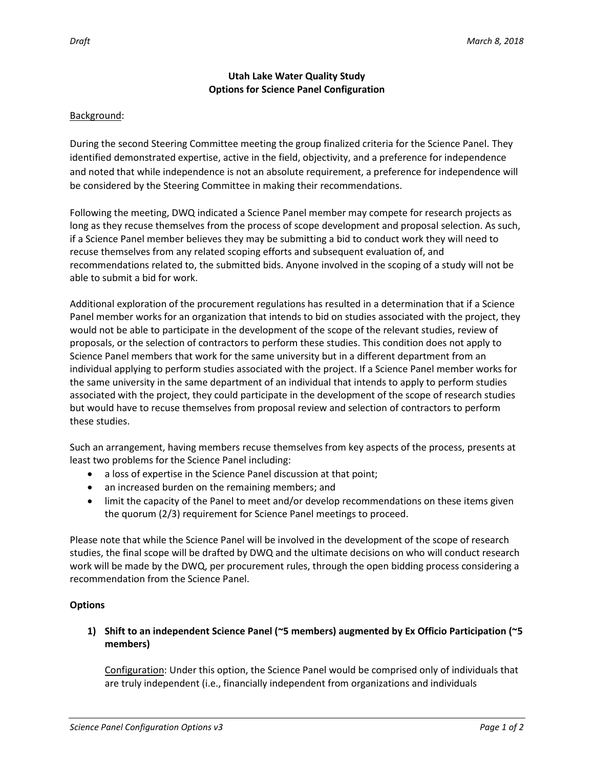# **Utah Lake Water Quality Study Options for Science Panel Configuration**

#### Background:

During the second Steering Committee meeting the group finalized criteria for the Science Panel. They identified demonstrated expertise, active in the field, objectivity, and a preference for independence and noted that while independence is not an absolute requirement, a preference for independence will be considered by the Steering Committee in making their recommendations.

Following the meeting, DWQ indicated a Science Panel member may compete for research projects as long as they recuse themselves from the process of scope development and proposal selection. As such, if a Science Panel member believes they may be submitting a bid to conduct work they will need to recuse themselves from any related scoping efforts and subsequent evaluation of, and recommendations related to, the submitted bids. Anyone involved in the scoping of a study will not be able to submit a bid for work.

Additional exploration of the procurement regulations has resulted in a determination that if a Science Panel member works for an organization that intends to bid on studies associated with the project, they would not be able to participate in the development of the scope of the relevant studies, review of proposals, or the selection of contractors to perform these studies. This condition does not apply to Science Panel members that work for the same university but in a different department from an individual applying to perform studies associated with the project. If a Science Panel member works for the same university in the same department of an individual that intends to apply to perform studies associated with the project, they could participate in the development of the scope of research studies but would have to recuse themselves from proposal review and selection of contractors to perform these studies.

Such an arrangement, having members recuse themselves from key aspects of the process, presents at least two problems for the Science Panel including:

- a loss of expertise in the Science Panel discussion at that point;
- an increased burden on the remaining members; and
- limit the capacity of the Panel to meet and/or develop recommendations on these items given the quorum (2/3) requirement for Science Panel meetings to proceed.

Please note that while the Science Panel will be involved in the development of the scope of research studies, the final scope will be drafted by DWQ and the ultimate decisions on who will conduct research work will be made by the DWQ, per procurement rules, through the open bidding process considering a recommendation from the Science Panel.

# **Options**

# **1) Shift to an independent Science Panel (~5 members) augmented by Ex Officio Participation (~5 members)**

Configuration: Under this option, the Science Panel would be comprised only of individuals that are truly independent (i.e., financially independent from organizations and individuals